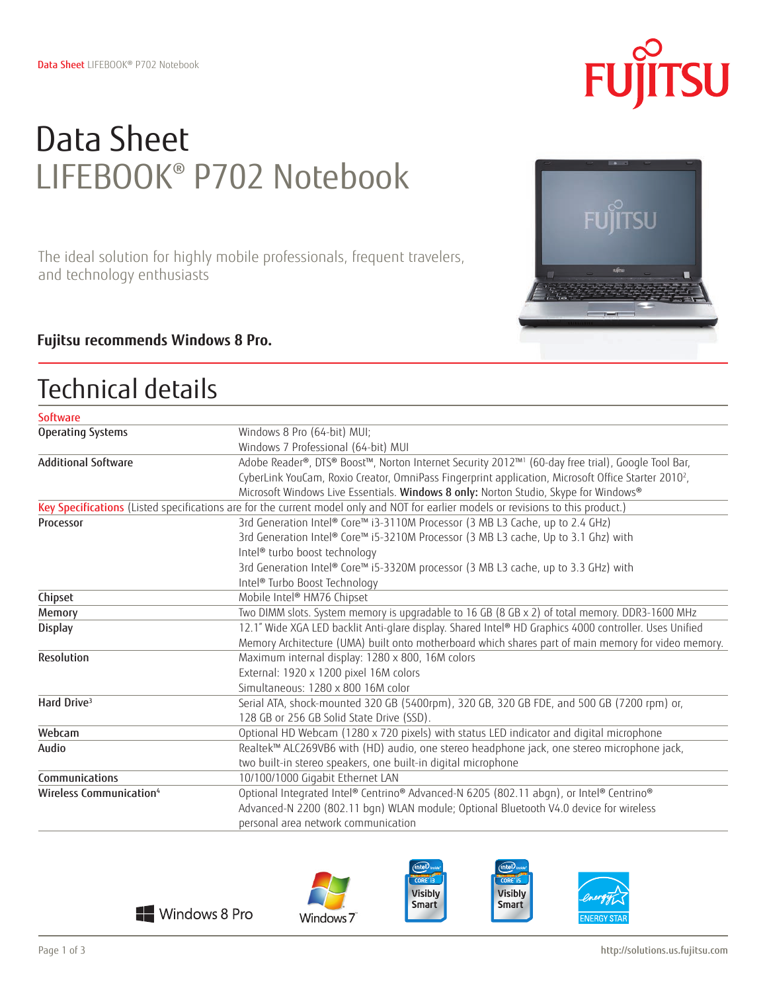# Data Sheet LIFEBOOK® P702 Notebook

The ideal solution for highly mobile professionals, frequent travelers, and technology enthusiasts

### **Fujitsu recommends Windows 8 Pro.**

# Technical details

| Software                            |                                                                                                                                    |
|-------------------------------------|------------------------------------------------------------------------------------------------------------------------------------|
| <b>Operating Systems</b>            | Windows 8 Pro (64-bit) MUI;                                                                                                        |
|                                     | Windows 7 Professional (64-bit) MUI                                                                                                |
| <b>Additional Software</b>          | Adobe Reader®, DTS® Boost™, Norton Internet Security 2012™1 (60-day free trial), Google Tool Bar,                                  |
|                                     | CyberLink YouCam, Roxio Creator, OmniPass Fingerprint application, Microsoft Office Starter 2010 <sup>2</sup> ,                    |
|                                     | Microsoft Windows Live Essentials. Windows 8 only: Norton Studio, Skype for Windows®                                               |
|                                     | Key Specifications (Listed specifications are for the current model only and NOT for earlier models or revisions to this product.) |
| Processor                           | 3rd Generation Intel® Core™ i3-3110M Processor (3 MB L3 Cache, up to 2.4 GHz)                                                      |
|                                     | 3rd Generation Intel® Core™ i5-3210M Processor (3 MB L3 cache, Up to 3.1 Ghz) with                                                 |
|                                     | Intel <sup>®</sup> turbo boost technology                                                                                          |
|                                     | 3rd Generation Intel® Core™ i5-3320M processor (3 MB L3 cache, up to 3.3 GHz) with                                                 |
|                                     | Intel <sup>®</sup> Turbo Boost Technology                                                                                          |
| Chipset                             | Mobile Intel® HM76 Chipset                                                                                                         |
| Memory                              | Two DIMM slots. System memory is upgradable to 16 GB (8 GB x 2) of total memory. DDR3-1600 MHz                                     |
| <b>Display</b>                      | 12.1" Wide XGA LED backlit Anti-glare display. Shared Intel® HD Graphics 4000 controller. Uses Unified                             |
|                                     | Memory Architecture (UMA) built onto motherboard which shares part of main memory for video memory.                                |
| Resolution                          | Maximum internal display: 1280 x 800, 16M colors                                                                                   |
|                                     | External: 1920 x 1200 pixel 16M colors                                                                                             |
|                                     | Simultaneous: 1280 x 800 16M color                                                                                                 |
| Hard Drive <sup>3</sup>             | Serial ATA, shock-mounted 320 GB (5400rpm), 320 GB, 320 GB FDE, and 500 GB (7200 rpm) or,                                          |
|                                     | 128 GB or 256 GB Solid State Drive (SSD).                                                                                          |
| Webcam                              | Optional HD Webcam (1280 x 720 pixels) with status LED indicator and digital microphone                                            |
| Audio                               | Realtek™ ALC269VB6 with (HD) audio, one stereo headphone jack, one stereo microphone jack,                                         |
|                                     | two built-in stereo speakers, one built-in digital microphone                                                                      |
| Communications                      | 10/100/1000 Gigabit Ethernet LAN                                                                                                   |
| Wireless Communication <sup>4</sup> | Optional Integrated Intel® Centrino® Advanced-N 6205 (802.11 abgn), or Intel® Centrino®                                            |
|                                     | Advanced-N 2200 (802.11 bgn) WLAN module; Optional Bluetooth V4.0 device for wireless                                              |
|                                     | personal area network communication                                                                                                |
|                                     |                                                                                                                                    |







**Visibly** 

Smart



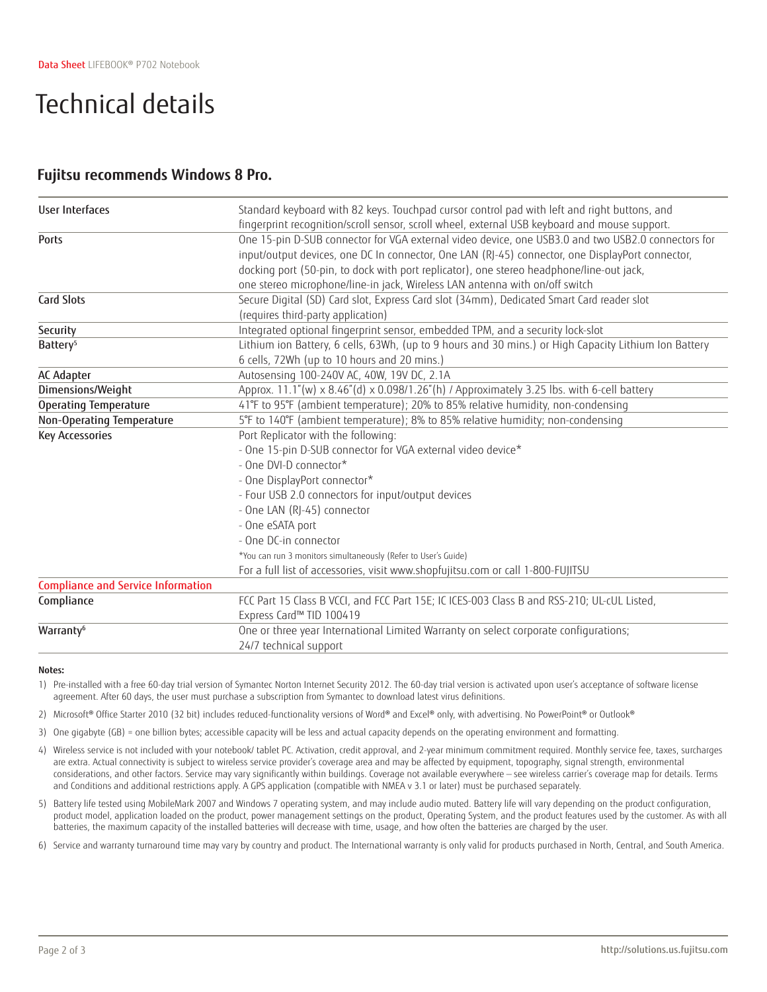# Technical details

### **Fujitsu recommends Windows 8 Pro.**

| User Interfaces                           | Standard keyboard with 82 keys. Touchpad cursor control pad with left and right buttons, and<br>fingerprint recognition/scroll sensor, scroll wheel, external USB keyboard and mouse support.                                                                                                                                                                                                                                                       |
|-------------------------------------------|-----------------------------------------------------------------------------------------------------------------------------------------------------------------------------------------------------------------------------------------------------------------------------------------------------------------------------------------------------------------------------------------------------------------------------------------------------|
| <b>Ports</b>                              | One 15-pin D-SUB connector for VGA external video device, one USB3.0 and two USB2.0 connectors for<br>input/output devices, one DC In connector, One LAN (RJ-45) connector, one DisplayPort connector,<br>docking port (50-pin, to dock with port replicator), one stereo headphone/line-out jack,<br>one stereo microphone/line-in jack, Wireless LAN antenna with on/off switch                                                                   |
| <b>Card Slots</b>                         | Secure Digital (SD) Card slot, Express Card slot (34mm), Dedicated Smart Card reader slot<br>(requires third-party application)                                                                                                                                                                                                                                                                                                                     |
| Security                                  | Integrated optional fingerprint sensor, embedded TPM, and a security lock-slot                                                                                                                                                                                                                                                                                                                                                                      |
| Battery <sup>5</sup>                      | Lithium ion Battery, 6 cells, 63Wh, (up to 9 hours and 30 mins.) or High Capacity Lithium Ion Battery<br>6 cells, 72Wh (up to 10 hours and 20 mins.)                                                                                                                                                                                                                                                                                                |
| AC Adapter                                | Autosensing 100-240V AC, 40W, 19V DC, 2.1A                                                                                                                                                                                                                                                                                                                                                                                                          |
| Dimensions/Weight                         | Approx. 11.1"(w) x 8.46"(d) x 0.098/1.26"(h) / Approximately 3.25 lbs. with 6-cell battery                                                                                                                                                                                                                                                                                                                                                          |
| <b>Operating Temperature</b>              | 41°F to 95°F (ambient temperature); 20% to 85% relative humidity, non-condensing                                                                                                                                                                                                                                                                                                                                                                    |
| Non-Operating Temperature                 | 5°F to 140°F (ambient temperature); 8% to 85% relative humidity; non-condensing                                                                                                                                                                                                                                                                                                                                                                     |
| <b>Key Accessories</b>                    | Port Replicator with the following:<br>- One 15-pin D-SUB connector for VGA external video device*<br>- One DVI-D connector*<br>- One DisplayPort connector*<br>- Four USB 2.0 connectors for input/output devices<br>- One LAN (RJ-45) connector<br>- One eSATA port<br>- One DC-in connector<br>*You can run 3 monitors simultaneously (Refer to User's Guide)<br>For a full list of accessories, visit www.shopfujitsu.com or call 1-800-FUJITSU |
| <b>Compliance and Service Information</b> |                                                                                                                                                                                                                                                                                                                                                                                                                                                     |
| Compliance                                | FCC Part 15 Class B VCCI, and FCC Part 15E; IC ICES-003 Class B and RSS-210; UL-cUL Listed,<br>Express Card™ TID 100419                                                                                                                                                                                                                                                                                                                             |
| Warranty <sup>6</sup>                     | One or three year International Limited Warranty on select corporate configurations;<br>24/7 technical support                                                                                                                                                                                                                                                                                                                                      |

#### **Notes:**

1) Pre-installed with a free 60-day trial version of Symantec Norton Internet Security 2012. The 60-day trial version is activated upon user's acceptance of software license agreement. After 60 days, the user must purchase a subscription from Symantec to download latest virus definitions.

2) Microsoft® Office Starter 2010 (32 bit) includes reduced-functionality versions of Word® and Excel® only, with advertising. No PowerPoint® or Outlook®

- 3) One gigabyte (GB) = one billion bytes; accessible capacity will be less and actual capacity depends on the operating environment and formatting.
- 4) Wireless service is not included with your notebook/ tablet PC. Activation, credit approval, and 2-year minimum commitment required. Monthly service fee, taxes, surcharges are extra. Actual connectivity is subject to wireless service provider's coverage area and may be affected by equipment, topography, signal strength, environmental considerations, and other factors. Service may vary significantly within buildings. Coverage not available everywhere — see wireless carrier's coverage map for details. Terms and Conditions and additional restrictions apply. A GPS application (compatible with NMEA v 3.1 or later) must be purchased separately.
- 5) Battery life tested using MobileMark 2007 and Windows 7 operating system, and may include audio muted. Battery life will vary depending on the product configuration, product model, application loaded on the product, power management settings on the product, Operating System, and the product features used by the customer. As with all batteries, the maximum capacity of the installed batteries will decrease with time, usage, and how often the batteries are charged by the user.
- 6) Service and warranty turnaround time may vary by country and product. The International warranty is only valid for products purchased in North, Central, and South America.